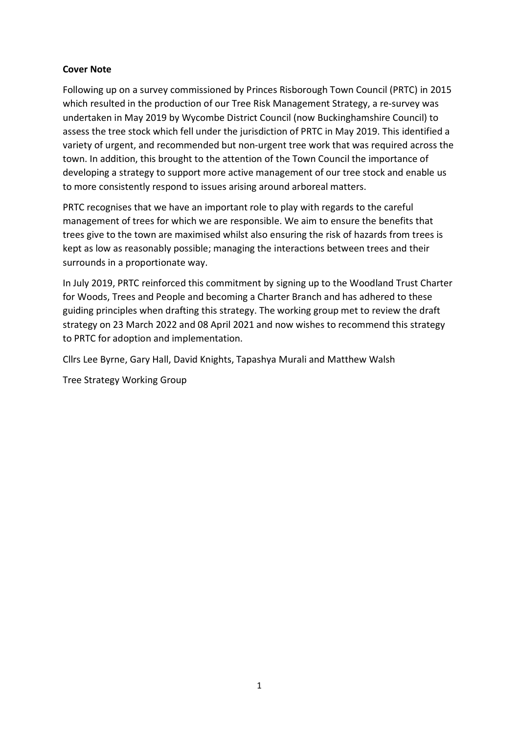# **Cover Note**

Following up on a survey commissioned by Princes Risborough Town Council (PRTC) in 2015 which resulted in the production of our Tree Risk Management Strategy, a re-survey was undertaken in May 2019 by Wycombe District Council (now Buckinghamshire Council) to assess the tree stock which fell under the jurisdiction of PRTC in May 2019. This identified a variety of urgent, and recommended but non-urgent tree work that was required across the town. In addition, this brought to the attention of the Town Council the importance of developing a strategy to support more active management of our tree stock and enable us to more consistently respond to issues arising around arboreal matters.

PRTC recognises that we have an important role to play with regards to the careful management of trees for which we are responsible. We aim to ensure the benefits that trees give to the town are maximised whilst also ensuring the risk of hazards from trees is kept as low as reasonably possible; managing the interactions between trees and their surrounds in a proportionate way.

In July 2019, PRTC reinforced this commitment by signing up to the Woodland Trust Charter for Woods, Trees and People and becoming a Charter Branch and has adhered to these guiding principles when drafting this strategy. The working group met to review the draft strategy on 23 March 2022 and 08 April 2021 and now wishes to recommend this strategy to PRTC for adoption and implementation.

Cllrs Lee Byrne, Gary Hall, David Knights, Tapashya Murali and Matthew Walsh

Tree Strategy Working Group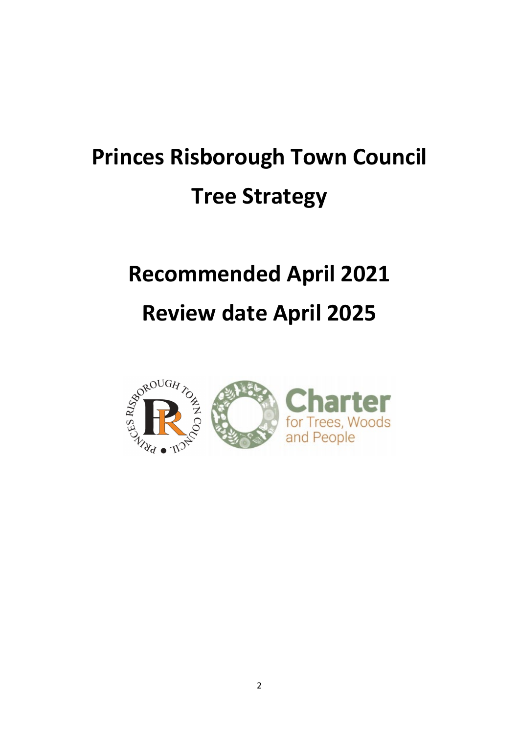# **Princes Risborough Town Council Tree Strategy**

# **Recommended April 2021 Review date April 2025**

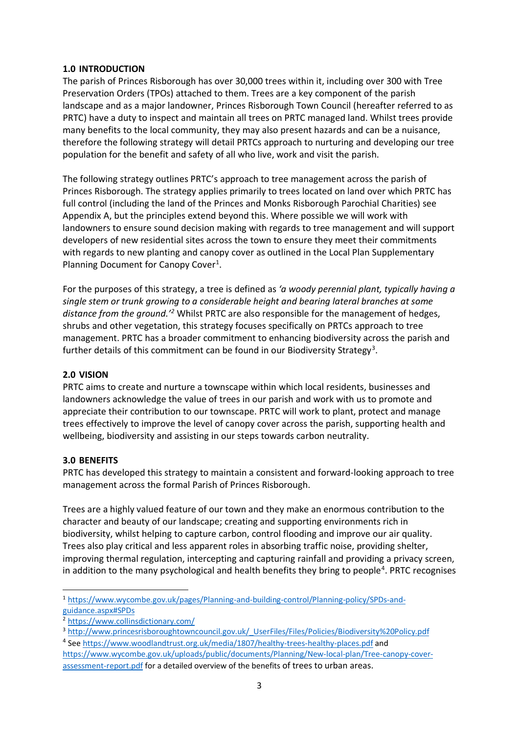# **1.0 INTRODUCTION**

The parish of Princes Risborough has over 30,000 trees within it, including over 300 with Tree Preservation Orders (TPOs) attached to them. Trees are a key component of the parish landscape and as a major landowner, Princes Risborough Town Council (hereafter referred to as PRTC) have a duty to inspect and maintain all trees on PRTC managed land. Whilst trees provide many benefits to the local community, they may also present hazards and can be a nuisance, therefore the following strategy will detail PRTCs approach to nurturing and developing our tree population for the benefit and safety of all who live, work and visit the parish.

The following strategy outlines PRTC's approach to tree management across the parish of Princes Risborough. The strategy applies primarily to trees located on land over which PRTC has full control (including the land of the Princes and Monks Risborough Parochial Charities) see Appendix A, but the principles extend beyond this. Where possible we will work with landowners to ensure sound decision making with regards to tree management and will support developers of new residential sites across the town to ensure they meet their commitments with regards to new planting and canopy cover as outlined in the Local Plan Supplementary Planning Document for Canopy Cover<sup>[1](#page-2-0)</sup>.

For the purposes of this strategy, a tree is defined as *'a woody perennial plant, typically having a single stem or trunk growing to a considerable height and bearing lateral branches at some distance from the ground.['2](#page-2-1)* Whilst PRTC are also responsible for the management of hedges, shrubs and other vegetation, this strategy focuses specifically on PRTCs approach to tree management. PRTC has a broader commitment to enhancing biodiversity across the parish and further details of this commitment can be found in our Biodiversity Strategy<sup>[3](#page-2-2)</sup>.

# **2.0 VISION**

PRTC aims to create and nurture a townscape within which local residents, businesses and landowners acknowledge the value of trees in our parish and work with us to promote and appreciate their contribution to our townscape. PRTC will work to plant, protect and manage trees effectively to improve the level of canopy cover across the parish, supporting health and wellbeing, biodiversity and assisting in our steps towards carbon neutrality.

# **3.0 BENEFITS**

PRTC has developed this strategy to maintain a consistent and forward-looking approach to tree management across the formal Parish of Princes Risborough.

Trees are a highly valued feature of our town and they make an enormous contribution to the character and beauty of our landscape; creating and supporting environments rich in biodiversity, whilst helping to capture carbon, control flooding and improve our air quality. Trees also play critical and less apparent roles in absorbing traffic noise, providing shelter, improving thermal regulation, intercepting and capturing rainfall and providing a privacy screen, in addition to the many psychological and health benefits they bring to people<sup>[4](#page-2-3)</sup>. PRTC recognises

<span id="page-2-0"></span> <sup>1</sup> [https://www.wycombe.gov.uk/pages/Planning-and-building-control/Planning-policy/SPDs-and](https://www.wycombe.gov.uk/pages/Planning-and-building-control/Planning-policy/SPDs-and-guidance.aspx#SPDs)[guidance.aspx#SPDs](https://www.wycombe.gov.uk/pages/Planning-and-building-control/Planning-policy/SPDs-and-guidance.aspx#SPDs)

<span id="page-2-1"></span><sup>2</sup> <https://www.collinsdictionary.com/>

<span id="page-2-3"></span><span id="page-2-2"></span><sup>3</sup> [http://www.princesrisboroughtowncouncil.gov.uk/\\_UserFiles/Files/Policies/Biodiversity%20Policy.pdf](http://www.princesrisboroughtowncouncil.gov.uk/_UserFiles/Files/Policies/Biodiversity%20Policy.pdf) <sup>4</sup> See<https://www.woodlandtrust.org.uk/media/1807/healthy-trees-healthy-places.pdf> and

[https://www.wycombe.gov.uk/uploads/public/documents/Planning/New-local-plan/Tree-canopy-cover](https://www.wycombe.gov.uk/uploads/public/documents/Planning/New-local-plan/Tree-canopy-cover-assessment-report.pdf)[assessment-report.pdf](https://www.wycombe.gov.uk/uploads/public/documents/Planning/New-local-plan/Tree-canopy-cover-assessment-report.pdf) for a detailed overview of the benefits of trees to urban areas.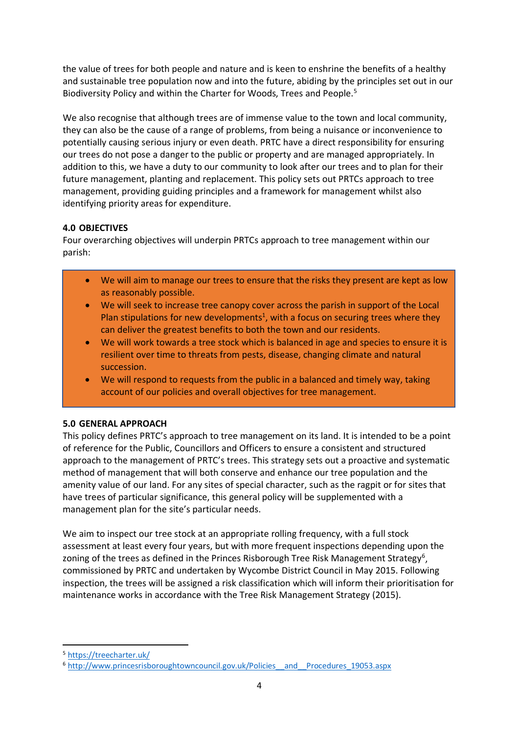the value of trees for both people and nature and is keen to enshrine the benefits of a healthy and sustainable tree population now and into the future, abiding by the principles set out in our Biodiversity Policy and within the Charter for Woods, Trees and People. [5](#page-3-0)

We also recognise that although trees are of immense value to the town and local community, they can also be the cause of a range of problems, from being a nuisance or inconvenience to potentially causing serious injury or even death. PRTC have a direct responsibility for ensuring our trees do not pose a danger to the public or property and are managed appropriately. In addition to this, we have a duty to our community to look after our trees and to plan for their future management, planting and replacement. This policy sets out PRTCs approach to tree management, providing guiding principles and a framework for management whilst also identifying priority areas for expenditure.

# **4.0 OBJECTIVES**

Four overarching objectives will underpin PRTCs approach to tree management within our parish:

- We will aim to manage our trees to ensure that the risks they present are kept as low as reasonably possible.
- We will seek to increase tree canopy cover across the parish in support of the Local Plan stipulations for new developments<sup>1</sup>, with a focus on securing trees where they can deliver the greatest benefits to both the town and our residents.
- We will work towards a tree stock which is balanced in age and species to ensure it is resilient over time to threats from pests, disease, changing climate and natural succession.
- We will respond to requests from the public in a balanced and timely way, taking account of our policies and overall objectives for tree management.

# **5.0 GENERAL APPROACH**

This policy defines PRTC's approach to tree management on its land. It is intended to be a point of reference for the Public, Councillors and Officers to ensure a consistent and structured approach to the management of PRTC's trees. This strategy sets out a proactive and systematic method of management that will both conserve and enhance our tree population and the amenity value of our land. For any sites of special character, such as the ragpit or for sites that have trees of particular significance, this general policy will be supplemented with a management plan for the site's particular needs.

We aim to inspect our tree stock at an appropriate rolling frequency, with a full stock assessment at least every four years, but with more frequent inspections depending upon the zoning of the trees as defined in the Princes Risborough Tree Risk Management Strategy<sup>[6](#page-3-1)</sup>, commissioned by PRTC and undertaken by Wycombe District Council in May 2015. Following inspection, the trees will be assigned a risk classification which will inform their prioritisation for maintenance works in accordance with the Tree Risk Management Strategy (2015).

<span id="page-3-0"></span>5 <https://treecharter.uk/>

<span id="page-3-1"></span><sup>6</sup> [http://www.princesrisboroughtowncouncil.gov.uk/Policies\\_\\_and\\_\\_Procedures\\_19053.aspx](http://www.princesrisboroughtowncouncil.gov.uk/Policies__and__Procedures_19053.aspx)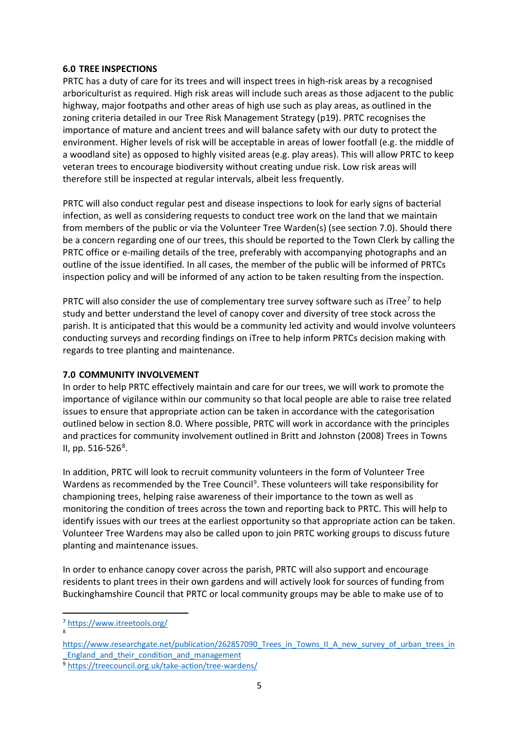#### **6.0 TREE INSPECTIONS**

PRTC has a duty of care for its trees and will inspect trees in high-risk areas by a recognised arboriculturist as required. High risk areas will include such areas as those adjacent to the public highway, major footpaths and other areas of high use such as play areas, as outlined in the zoning criteria detailed in our Tree Risk Management Strategy (p19). PRTC recognises the importance of mature and ancient trees and will balance safety with our duty to protect the environment. Higher levels of risk will be acceptable in areas of lower footfall (e.g. the middle of a woodland site) as opposed to highly visited areas (e.g. play areas). This will allow PRTC to keep veteran trees to encourage biodiversity without creating undue risk. Low risk areas will therefore still be inspected at regular intervals, albeit less frequently.

PRTC will also conduct regular pest and disease inspections to look for early signs of bacterial infection, as well as considering requests to conduct tree work on the land that we maintain from members of the public or via the Volunteer Tree Warden(s) (see section 7.0). Should there be a concern regarding one of our trees, this should be reported to the Town Clerk by calling the PRTC office or e-mailing details of the tree, preferably with accompanying photographs and an outline of the issue identified. In all cases, the member of the public will be informed of PRTCs inspection policy and will be informed of any action to be taken resulting from the inspection.

PRTC will also consider the use of complementary tree survey software such as iTree<sup>[7](#page-4-0)</sup> to help study and better understand the level of canopy cover and diversity of tree stock across the parish. It is anticipated that this would be a community led activity and would involve volunteers conducting surveys and recording findings on iTree to help inform PRTCs decision making with regards to tree planting and maintenance.

# **7.0 COMMUNITY INVOLVEMENT**

In order to help PRTC effectively maintain and care for our trees, we will work to promote the importance of vigilance within our community so that local people are able to raise tree related issues to ensure that appropriate action can be taken in accordance with the categorisation outlined below in section 8.0. Where possible, PRTC will work in accordance with the principles and practices for community involvement outlined in Britt and Johnston (2008) Trees in Towns II, pp. 516-526<sup>[8](#page-4-1)</sup>.

In addition, PRTC will look to recruit community volunteers in the form of Volunteer Tree Wardens as recommended by the Tree Council<sup>[9](#page-4-2)</sup>. These volunteers will take responsibility for championing trees, helping raise awareness of their importance to the town as well as monitoring the condition of trees across the town and reporting back to PRTC. This will help to identify issues with our trees at the earliest opportunity so that appropriate action can be taken. Volunteer Tree Wardens may also be called upon to join PRTC working groups to discuss future planting and maintenance issues.

In order to enhance canopy cover across the parish, PRTC will also support and encourage residents to plant trees in their own gardens and will actively look for sources of funding from Buckinghamshire Council that PRTC or local community groups may be able to make use of to

8

<span id="page-4-0"></span> <sup>7</sup> <https://www.itreetools.org/>

<span id="page-4-1"></span>[https://www.researchgate.net/publication/262857090\\_Trees\\_in\\_Towns\\_II\\_A\\_new\\_survey\\_of\\_urban\\_trees\\_in](https://www.researchgate.net/publication/262857090_Trees_in_Towns_II_A_new_survey_of_urban_trees_in_England_and_their_condition_and_management) England and their condition and management

<span id="page-4-2"></span><sup>9</sup> <https://treecouncil.org.uk/take-action/tree-wardens/>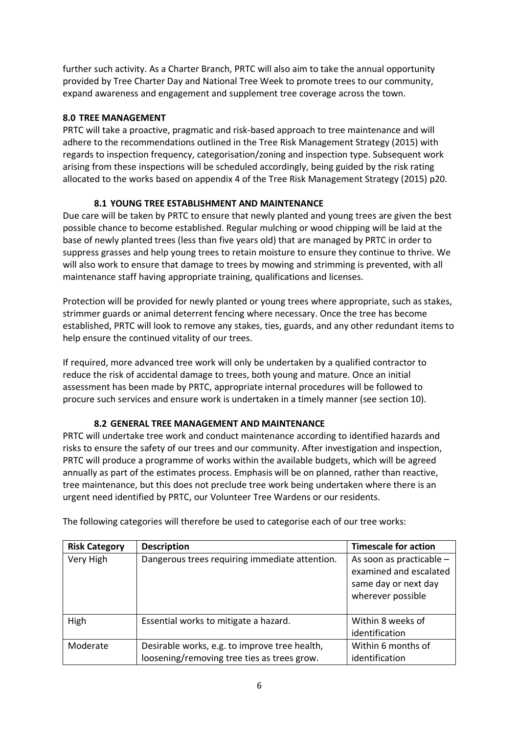further such activity. As a Charter Branch, PRTC will also aim to take the annual opportunity provided by Tree Charter Day and National Tree Week to promote trees to our community, expand awareness and engagement and supplement tree coverage across the town.

# **8.0 TREE MANAGEMENT**

PRTC will take a proactive, pragmatic and risk-based approach to tree maintenance and will adhere to the recommendations outlined in the Tree Risk Management Strategy (2015) with regards to inspection frequency, categorisation/zoning and inspection type. Subsequent work arising from these inspections will be scheduled accordingly, being guided by the risk rating allocated to the works based on appendix 4 of the Tree Risk Management Strategy (2015) p20.

# **8.1 YOUNG TREE ESTABLISHMENT AND MAINTENANCE**

Due care will be taken by PRTC to ensure that newly planted and young trees are given the best possible chance to become established. Regular mulching or wood chipping will be laid at the base of newly planted trees (less than five years old) that are managed by PRTC in order to suppress grasses and help young trees to retain moisture to ensure they continue to thrive. We will also work to ensure that damage to trees by mowing and strimming is prevented, with all maintenance staff having appropriate training, qualifications and licenses.

Protection will be provided for newly planted or young trees where appropriate, such as stakes, strimmer guards or animal deterrent fencing where necessary. Once the tree has become established, PRTC will look to remove any stakes, ties, guards, and any other redundant items to help ensure the continued vitality of our trees.

If required, more advanced tree work will only be undertaken by a qualified contractor to reduce the risk of accidental damage to trees, both young and mature. Once an initial assessment has been made by PRTC, appropriate internal procedures will be followed to procure such services and ensure work is undertaken in a timely manner (see section 10).

# **8.2 GENERAL TREE MANAGEMENT AND MAINTENANCE**

PRTC will undertake tree work and conduct maintenance according to identified hazards and risks to ensure the safety of our trees and our community. After investigation and inspection, PRTC will produce a programme of works within the available budgets, which will be agreed annually as part of the estimates process. Emphasis will be on planned, rather than reactive, tree maintenance, but this does not preclude tree work being undertaken where there is an urgent need identified by PRTC, our Volunteer Tree Wardens or our residents.

| <b>Risk Category</b> | <b>Description</b>                                                                           | <b>Timescale for action</b>                                                                     |
|----------------------|----------------------------------------------------------------------------------------------|-------------------------------------------------------------------------------------------------|
| Very High            | Dangerous trees requiring immediate attention.                                               | As soon as practicable -<br>examined and escalated<br>same day or next day<br>wherever possible |
| High                 | Essential works to mitigate a hazard.                                                        | Within 8 weeks of<br>identification                                                             |
| Moderate             | Desirable works, e.g. to improve tree health,<br>loosening/removing tree ties as trees grow. | Within 6 months of<br>identification                                                            |

The following categories will therefore be used to categorise each of our tree works: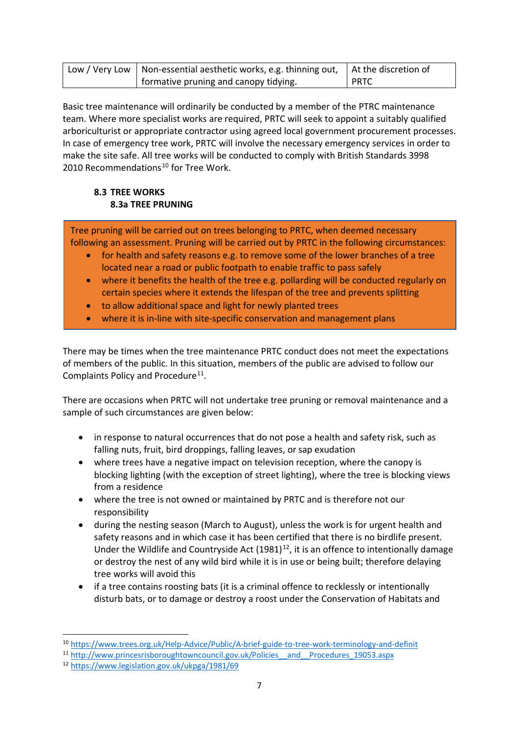| Low / Very Low   Non-essential aesthetic works, e.g. thinning out, $\Box$ At the discretion of |        |
|------------------------------------------------------------------------------------------------|--------|
| formative pruning and canopy tidying.                                                          | I PRTC |

Basic tree maintenance will ordinarily be conducted by a member of the PTRC maintenance team. Where more specialist works are required, PRTC will seek to appoint a suitably qualified arboriculturist or appropriate contractor using agreed local government procurement processes. In case of emergency tree work, PRTC will involve the necessary emergency services in order to make the site safe. All tree works will be conducted to comply with British Standards 3998 20[10](#page-6-0) Recommendations<sup>10</sup> for Tree Work.

# **8.3 TREE WORKS 8.3a TREE PRUNING**

Tree pruning will be carried out on trees belonging to PRTC, when deemed necessary following an assessment. Pruning will be carried out by PRTC in the following circumstances:

- for health and safety reasons e.g. to remove some of the lower branches of a tree located near a road or public footpath to enable traffic to pass safely
- where it benefits the health of the tree e.g. pollarding will be conducted regularly on certain species where it extends the lifespan of the tree and prevents splitting
- to allow additional space and light for newly planted trees
- where it is in-line with site-specific conservation and management plans

There may be times when the tree maintenance PRTC conduct does not meet the expectations of members of the public. In this situation, members of the public are advised to follow our Complaints Policy and Procedure<sup>[11](#page-6-1)</sup>.

There are occasions when PRTC will not undertake tree pruning or removal maintenance and a sample of such circumstances are given below:

- in response to natural occurrences that do not pose a health and safety risk, such as falling nuts, fruit, bird droppings, falling leaves, or sap exudation
- where trees have a negative impact on television reception, where the canopy is blocking lighting (with the exception of street lighting), where the tree is blocking views from a residence
- where the tree is not owned or maintained by PRTC and is therefore not our responsibility
- during the nesting season (March to August), unless the work is for urgent health and safety reasons and in which case it has been certified that there is no birdlife present. Under the Wildlife and Countryside Act  $(1981)^{12}$  $(1981)^{12}$  $(1981)^{12}$ , it is an offence to intentionally damage or destroy the nest of any wild bird while it is in use or being built; therefore delaying tree works will avoid this
- if a tree contains roosting bats (it is a criminal offence to recklessly or intentionally disturb bats, or to damage or destroy a roost under the Conservation of Habitats and

<span id="page-6-0"></span> <sup>10</sup> <https://www.trees.org.uk/Help-Advice/Public/A-brief-guide-to-tree-work-terminology-and-definit>

<span id="page-6-1"></span><sup>&</sup>lt;sup>11</sup> http://www.princesrisboroughtowncouncil.gov.uk/Policies\_and\_Procedures\_19053.aspx

<span id="page-6-2"></span><sup>12</sup> <https://www.legislation.gov.uk/ukpga/1981/69>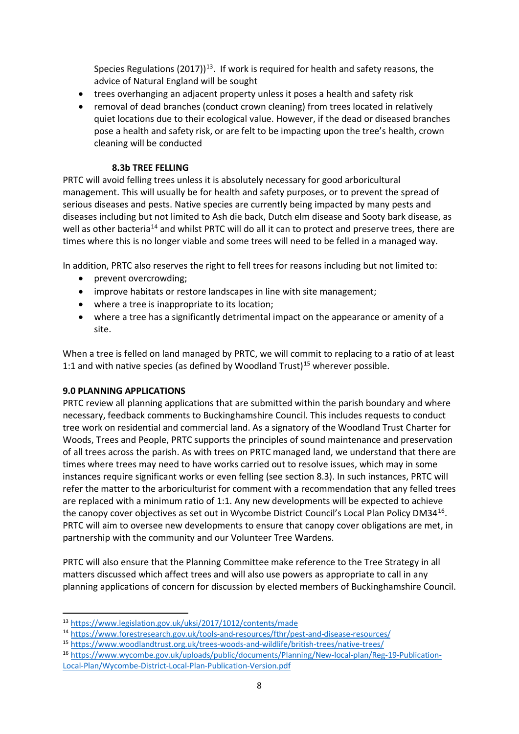Species Regulations (2017))<sup>13</sup>. If work is required for health and safety reasons, the advice of Natural England will be sought

- trees overhanging an adjacent property unless it poses a health and safety risk
- removal of dead branches (conduct crown cleaning) from trees located in relatively quiet locations due to their ecological value. However, if the dead or diseased branches pose a health and safety risk, or are felt to be impacting upon the tree's health, crown cleaning will be conducted

#### **8.3b TREE FELLING**

PRTC will avoid felling trees unless it is absolutely necessary for good arboricultural management. This will usually be for health and safety purposes, or to prevent the spread of serious diseases and pests. Native species are currently being impacted by many pests and diseases including but not limited to Ash die back, Dutch elm disease and Sooty bark disease, as well as other bacteria<sup>14</sup> and whilst PRTC will do all it can to protect and preserve trees, there are times where this is no longer viable and some trees will need to be felled in a managed way.

In addition, PRTC also reserves the right to fell trees for reasons including but not limited to:

- prevent overcrowding;
- improve habitats or restore landscapes in line with site management;
- where a tree is inappropriate to its location;
- where a tree has a significantly detrimental impact on the appearance or amenity of a site.

When a tree is felled on land managed by PRTC, we will commit to replacing to a ratio of at least 1:1 and with native species (as defined by Woodland Trust)<sup>[15](#page-7-2)</sup> wherever possible.

# **9.0 PLANNING APPLICATIONS**

PRTC review all planning applications that are submitted within the parish boundary and where necessary, feedback comments to Buckinghamshire Council. This includes requests to conduct tree work on residential and commercial land. As a signatory of the Woodland Trust Charter for Woods, Trees and People, PRTC supports the principles of sound maintenance and preservation of all trees across the parish. As with trees on PRTC managed land, we understand that there are times where trees may need to have works carried out to resolve issues, which may in some instances require significant works or even felling (see section 8.3). In such instances, PRTC will refer the matter to the arboriculturist for comment with a recommendation that any felled trees are replaced with a minimum ratio of 1:1. Any new developments will be expected to achieve the canopy cover objectives as set out in Wycombe District Council's Local Plan Policy DM34[16](#page-7-3). PRTC will aim to oversee new developments to ensure that canopy cover obligations are met, in partnership with the community and our Volunteer Tree Wardens.

PRTC will also ensure that the Planning Committee make reference to the Tree Strategy in all matters discussed which affect trees and will also use powers as appropriate to call in any planning applications of concern for discussion by elected members of Buckinghamshire Council.

<span id="page-7-0"></span> <sup>13</sup> <https://www.legislation.gov.uk/uksi/2017/1012/contents/made>

<span id="page-7-1"></span><sup>14</sup> <https://www.forestresearch.gov.uk/tools-and-resources/fthr/pest-and-disease-resources/>

<span id="page-7-2"></span><sup>15</sup> <https://www.woodlandtrust.org.uk/trees-woods-and-wildlife/british-trees/native-trees/>

<span id="page-7-3"></span><sup>16</sup> [https://www.wycombe.gov.uk/uploads/public/documents/Planning/New-local-plan/Reg-19-Publication-](https://www.wycombe.gov.uk/uploads/public/documents/Planning/New-local-plan/Reg-19-Publication-Local-Plan/Wycombe-District-Local-Plan-Publication-Version.pdf)[Local-Plan/Wycombe-District-Local-Plan-Publication-Version.pdf](https://www.wycombe.gov.uk/uploads/public/documents/Planning/New-local-plan/Reg-19-Publication-Local-Plan/Wycombe-District-Local-Plan-Publication-Version.pdf)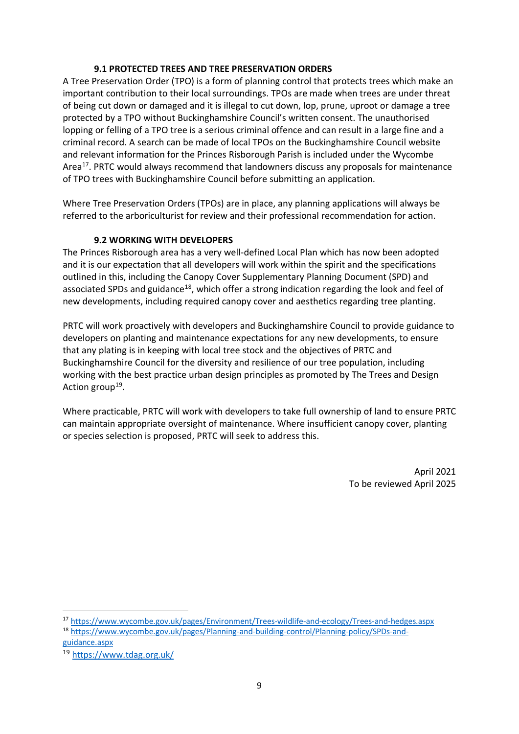#### **9.1 PROTECTED TREES AND TREE PRESERVATION ORDERS**

A Tree Preservation Order (TPO) is a form of planning control that protects trees which make an important contribution to their local surroundings. TPOs are made when trees are under threat of being cut down or damaged and it is illegal to cut down, lop, prune, uproot or damage a tree protected by a TPO without Buckinghamshire Council's written consent. The unauthorised lopping or felling of a TPO tree is a serious criminal offence and can result in a large fine and a criminal record. A search can be made of local TPOs on the Buckinghamshire Council website and relevant information for the Princes Risborough Parish is included under the Wycombe Area<sup>17</sup>. PRTC would always recommend that landowners discuss any proposals for maintenance of TPO trees with Buckinghamshire Council before submitting an application.

Where Tree Preservation Orders (TPOs) are in place, any planning applications will always be referred to the arboriculturist for review and their professional recommendation for action.

# **9.2 WORKING WITH DEVELOPERS**

The Princes Risborough area has a very well-defined Local Plan which has now been adopted and it is our expectation that all developers will work within the spirit and the specifications outlined in this, including the Canopy Cover Supplementary Planning Document (SPD) and associated SPDs and guidance<sup>18</sup>, which offer a strong indication regarding the look and feel of new developments, including required canopy cover and aesthetics regarding tree planting.

PRTC will work proactively with developers and Buckinghamshire Council to provide guidance to developers on planting and maintenance expectations for any new developments, to ensure that any plating is in keeping with local tree stock and the objectives of PRTC and Buckinghamshire Council for the diversity and resilience of our tree population, including working with the best practice urban design principles as promoted by The Trees and Design Action group<sup>[19](#page-8-2)</sup>.

Where practicable, PRTC will work with developers to take full ownership of land to ensure PRTC can maintain appropriate oversight of maintenance. Where insufficient canopy cover, planting or species selection is proposed, PRTC will seek to address this.

> April 2021 To be reviewed April 2025

<span id="page-8-0"></span>17 <https://www.wycombe.gov.uk/pages/Environment/Trees-wildlife-and-ecology/Trees-and-hedges.aspx>

<span id="page-8-1"></span><sup>18</sup> [https://www.wycombe.gov.uk/pages/Planning-and-building-control/Planning-policy/SPDs-and](https://www.wycombe.gov.uk/pages/Planning-and-building-control/Planning-policy/SPDs-and-guidance.aspx)[guidance.aspx](https://www.wycombe.gov.uk/pages/Planning-and-building-control/Planning-policy/SPDs-and-guidance.aspx)

<span id="page-8-2"></span><sup>19</sup> <https://www.tdag.org.uk/>